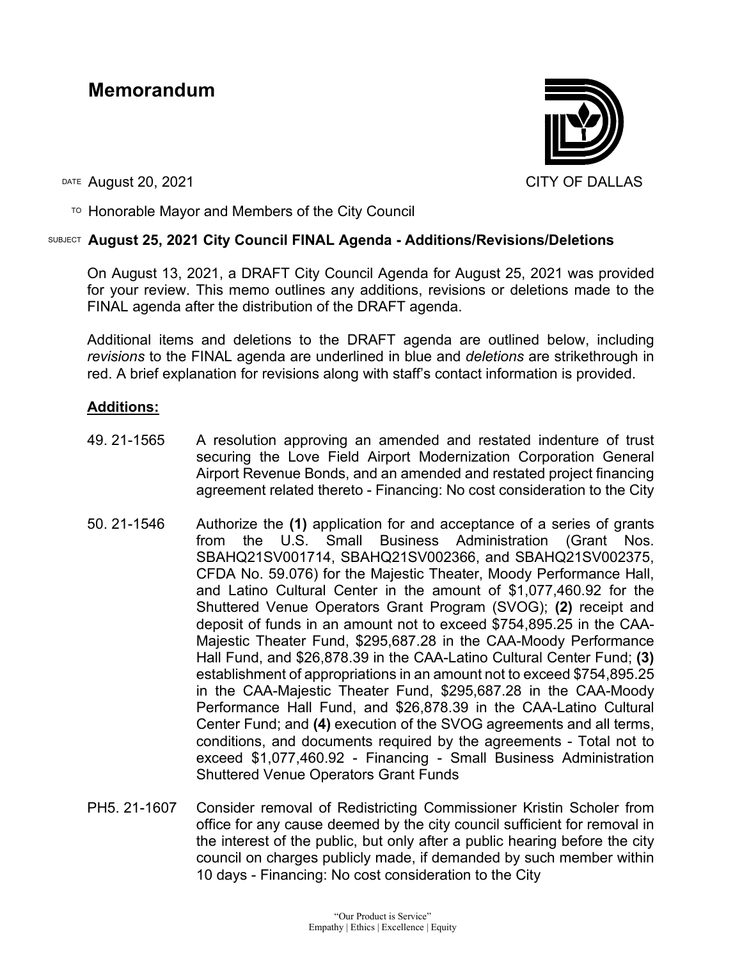# **Memorandum**



DATE August 20, 2021 CITY OF DALLAS

 $T$ <sup>O</sup> Honorable Mayor and Members of the City Council

# SUBJECT **August 25, 2021 City Council FINAL Agenda - Additions/Revisions/Deletions**

On August 13, 2021, a DRAFT City Council Agenda for August 25, 2021 was provided for your review. This memo outlines any additions, revisions or deletions made to the FINAL agenda after the distribution of the DRAFT agenda.

Additional items and deletions to the DRAFT agenda are outlined below, including *revisions* to the FINAL agenda are underlined in blue and *deletions* are strikethrough in red. A brief explanation for revisions along with staff's contact information is provided.

## **Additions:**

- 49. 21-1565 A resolution approving an amended and restated indenture of trust securing the Love Field Airport Modernization Corporation General Airport Revenue Bonds, and an amended and restated project financing agreement related thereto - Financing: No cost consideration to the City
- 50. 21-1546 Authorize the **(1)** application for and acceptance of a series of grants from the U.S. Small Business Administration (Grant Nos. SBAHQ21SV001714, SBAHQ21SV002366, and SBAHQ21SV002375, CFDA No. 59.076) for the Majestic Theater, Moody Performance Hall, and Latino Cultural Center in the amount of \$1,077,460.92 for the Shuttered Venue Operators Grant Program (SVOG); **(2)** receipt and deposit of funds in an amount not to exceed \$754,895.25 in the CAA-Majestic Theater Fund, \$295,687.28 in the CAA-Moody Performance Hall Fund, and \$26,878.39 in the CAA-Latino Cultural Center Fund; **(3)**  establishment of appropriations in an amount not to exceed \$754,895.25 in the CAA-Majestic Theater Fund, \$295,687.28 in the CAA-Moody Performance Hall Fund, and \$26,878.39 in the CAA-Latino Cultural Center Fund; and **(4)** execution of the SVOG agreements and all terms, conditions, and documents required by the agreements - Total not to exceed \$1,077,460.92 - Financing - Small Business Administration Shuttered Venue Operators Grant Funds
- PH5. 21-1607 Consider removal of Redistricting Commissioner Kristin Scholer from office for any cause deemed by the city council sufficient for removal in the interest of the public, but only after a public hearing before the city council on charges publicly made, if demanded by such member within 10 days - Financing: No cost consideration to the City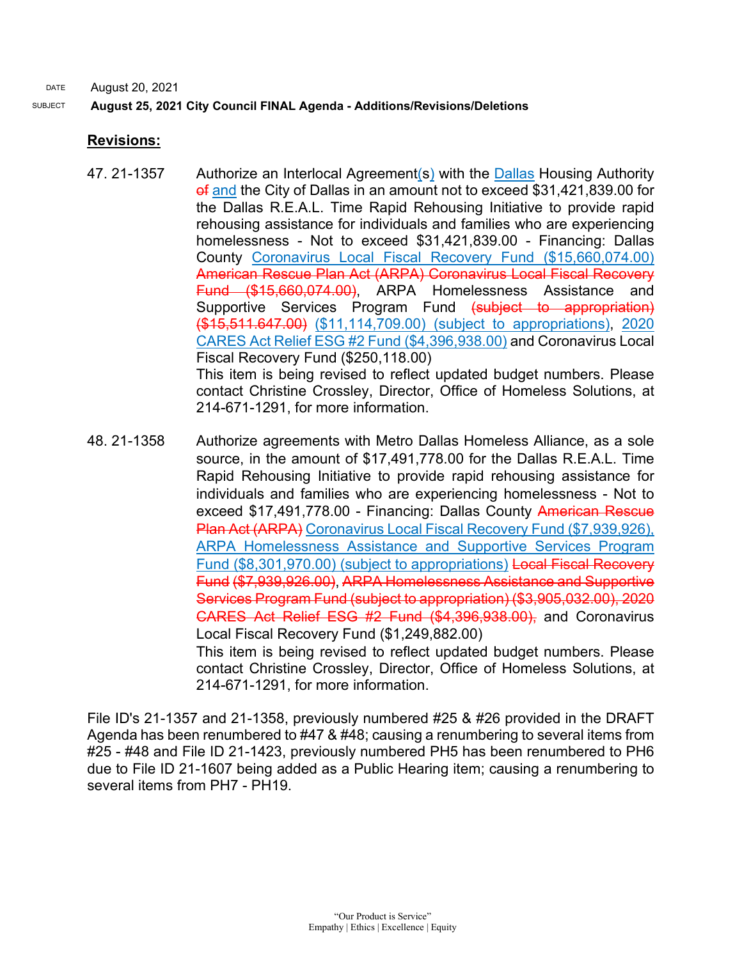# SUBJECT **August 25, 2021 City Council FINAL Agenda - Additions/Revisions/Deletions**

# **Revisions:**

- 47. 21-1357 Authorize an Interlocal Agreement(s) with the Dallas Housing Authority of and the City of Dallas in an amount not to exceed \$31,421,839.00 for the Dallas R.E.A.L. Time Rapid Rehousing Initiative to provide rapid rehousing assistance for individuals and families who are experiencing homelessness - Not to exceed \$31,421,839.00 - Financing: Dallas County Coronavirus Local Fiscal Recovery Fund (\$15,660,074.00) American Rescue Plan Act (ARPA) Coronavirus Local Fiscal Recovery Fund (\$15,660,074.00), ARPA Homelessness Assistance and Supportive Services Program Fund (subject to appropriation) (\$15,511.647.00) (\$11,114,709.00) (subject to appropriations), 2020 CARES Act Relief ESG #2 Fund (\$4,396,938.00) and Coronavirus Local Fiscal Recovery Fund (\$250,118.00) This item is being revised to reflect updated budget numbers. Please contact Christine Crossley, Director, Office of Homeless Solutions, at 214-671-1291, for more information.
- 48. 21-1358 Authorize agreements with Metro Dallas Homeless Alliance, as a sole source, in the amount of \$17,491,778.00 for the Dallas R.E.A.L. Time Rapid Rehousing Initiative to provide rapid rehousing assistance for individuals and families who are experiencing homelessness - Not to exceed \$17,491,778.00 - Financing: Dallas County American Rescue Plan Act (ARPA) Coronavirus Local Fiscal Recovery Fund (\$7,939,926). ARPA Homelessness Assistance and Supportive Services Program Fund (\$8,301,970.00) (subject to appropriations) Local Fiscal Recovery Fund (\$7,939,926.00), ARPA Homelessness Assistance and Supportive Services Program Fund (subject to appropriation) (\$3,905,032.00), 2020 CARES Act Relief ESG #2 Fund (\$4,396,938.00), and Coronavirus Local Fiscal Recovery Fund (\$1,249,882.00) This item is being revised to reflect updated budget numbers. Please contact Christine Crossley, Director, Office of Homeless Solutions, at 214-671-1291, for more information.

File ID's 21-1357 and 21-1358, previously numbered #25 & #26 provided in the DRAFT Agenda has been renumbered to #47 & #48; causing a renumbering to several items from #25 - #48 and File ID 21-1423, previously numbered PH5 has been renumbered to PH6 due to File ID 21-1607 being added as a Public Hearing item; causing a renumbering to several items from PH7 - PH19.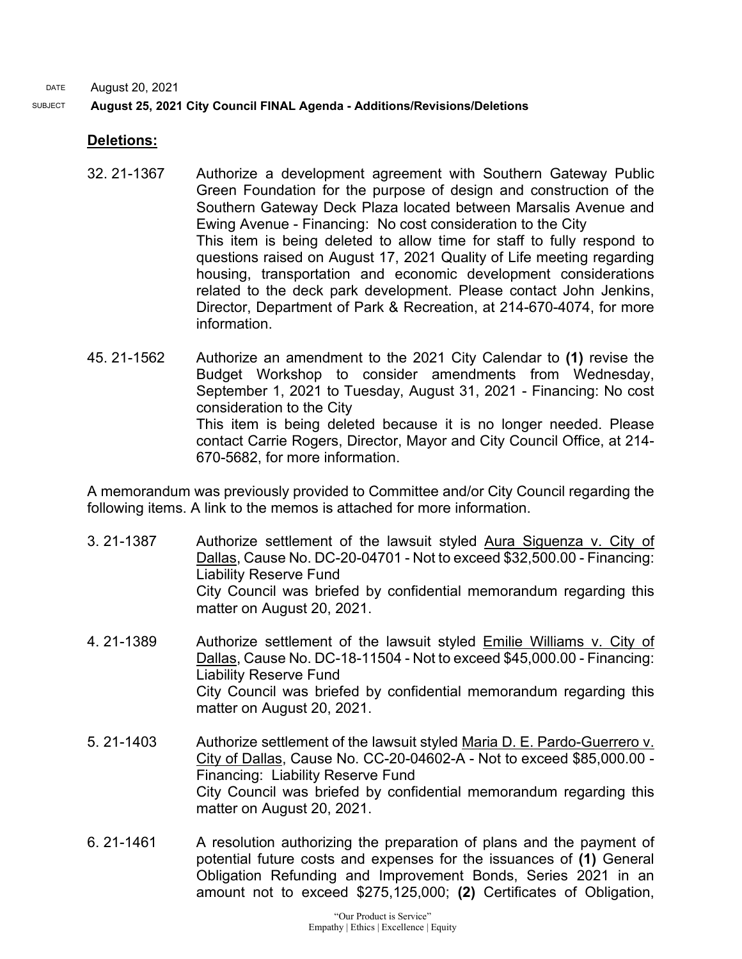#### SUBJECT **August 25, 2021 City Council FINAL Agenda - Additions/Revisions/Deletions**

### **Deletions:**

- 32. 21-1367 Authorize a development agreement with Southern Gateway Public Green Foundation for the purpose of design and construction of the Southern Gateway Deck Plaza located between Marsalis Avenue and Ewing Avenue - Financing: No cost consideration to the City This item is being deleted to allow time for staff to fully respond to questions raised on August 17, 2021 Quality of Life meeting regarding housing, transportation and economic development considerations related to the deck park development. Please contact John Jenkins, Director, Department of Park & Recreation, at 214-670-4074, for more information.
- 45. 21-1562 Authorize an amendment to the 2021 City Calendar to **(1)** revise the Budget Workshop to consider amendments from Wednesday, September 1, 2021 to Tuesday, August 31, 2021 - Financing: No cost consideration to the City This item is being deleted because it is no longer needed. Please contact Carrie Rogers, Director, Mayor and City Council Office, at 214- 670-5682, for more information.

A memorandum was previously provided to Committee and/or City Council regarding the following items. A link to the memos is attached for more information.

- 3. 21-1387 Authorize settlement of the lawsuit styled Aura Siguenza v. City of Dallas, Cause No. DC-20-04701 - Not to exceed \$32,500.00 - Financing: Liability Reserve Fund City Council was briefed by confidential memorandum regarding this matter on August 20, 2021.
- 4. 21-1389 Authorize settlement of the lawsuit styled Emilie Williams v. City of Dallas, Cause No. DC-18-11504 - Not to exceed \$45,000.00 - Financing: Liability Reserve Fund City Council was briefed by confidential memorandum regarding this matter on August 20, 2021.
- 5. 21-1403 Authorize settlement of the lawsuit styled Maria D. E. Pardo-Guerrero v. City of Dallas, Cause No. CC-20-04602-A - Not to exceed \$85,000.00 - Financing: Liability Reserve Fund City Council was briefed by confidential memorandum regarding this matter on August 20, 2021.
- 6. 21-1461 A resolution authorizing the preparation of plans and the payment of potential future costs and expenses for the issuances of **(1)** General Obligation Refunding and Improvement Bonds, Series 2021 in an amount not to exceed \$275,125,000; **(2)** Certificates of Obligation,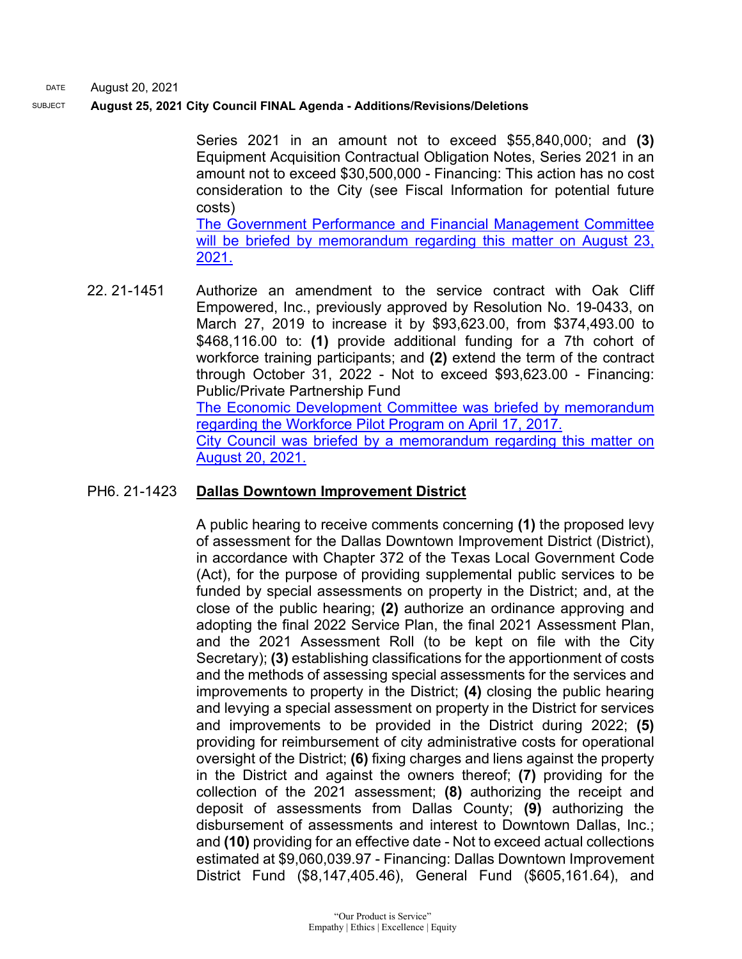#### SUBJECT **August 25, 2021 City Council FINAL Agenda - Additions/Revisions/Deletions**

Series 2021 in an amount not to exceed \$55,840,000; and **(3)** Equipment Acquisition Contractual Obligation Notes, Series 2021 in an amount not to exceed \$30,500,000 - Financing: This action has no cost consideration to the City (see Fiscal Information for potential future costs)

[The Government Performance and Financial Management Committee](https://dallascityhall.com/government/Council%20Meeting%20Documents/bond-sale_memo_082321.pdf)  will be briefed by memorandum regarding this matter on August 23, [2021.](https://dallascityhall.com/government/Council%20Meeting%20Documents/bond-sale_memo_082321.pdf)

22. 21-1451 Authorize an amendment to the service contract with Oak Cliff Empowered, Inc., previously approved by Resolution No. 19-0433, on March 27, 2019 to increase it by \$93,623.00, from \$374,493.00 to \$468,116.00 to: **(1)** provide additional funding for a 7th cohort of workforce training participants; and **(2)** extend the term of the contract through October 31, 2022 - Not to exceed \$93,623.00 - Financing: Public/Private Partnership Fund [The Economic Development Committee was briefed by memorandum](https://dallascityhall.com/government/Council%20Meeting%20Documents/eco_3_upcoming-agenda-items_041717.pdf)  [regarding the Workforce Pilot Program on April 17, 2017.](https://dallascityhall.com/government/Council%20Meeting%20Documents/eco_3_upcoming-agenda-items_041717.pdf) [City Council was briefed by a memorandum regarding this matter on](https://dallascityhall.com/government/citymanager/Documents/FY%2020-21%20Memos/Upcoming-Agenda-Item-Oak-Cliff-Empowered-Inc-Contract-Amendment_Memo_082021.pdf)  [August 20, 2021.](https://dallascityhall.com/government/citymanager/Documents/FY%2020-21%20Memos/Upcoming-Agenda-Item-Oak-Cliff-Empowered-Inc-Contract-Amendment_Memo_082021.pdf)

#### PH6. 21-1423 **Dallas Downtown Improvement District**

A public hearing to receive comments concerning **(1)** the proposed levy of assessment for the Dallas Downtown Improvement District (District), in accordance with Chapter 372 of the Texas Local Government Code (Act), for the purpose of providing supplemental public services to be funded by special assessments on property in the District; and, at the close of the public hearing; **(2)** authorize an ordinance approving and adopting the final 2022 Service Plan, the final 2021 Assessment Plan, and the 2021 Assessment Roll (to be kept on file with the City Secretary); **(3)** establishing classifications for the apportionment of costs and the methods of assessing special assessments for the services and improvements to property in the District; **(4)** closing the public hearing and levying a special assessment on property in the District for services and improvements to be provided in the District during 2022; **(5)**  providing for reimbursement of city administrative costs for operational oversight of the District; **(6)** fixing charges and liens against the property in the District and against the owners thereof; **(7)** providing for the collection of the 2021 assessment; **(8)** authorizing the receipt and deposit of assessments from Dallas County; **(9)** authorizing the disbursement of assessments and interest to Downtown Dallas, Inc.; and **(10)** providing for an effective date - Not to exceed actual collections estimated at \$9,060,039.97 - Financing: Dallas Downtown Improvement District Fund (\$8,147,405.46), General Fund (\$605,161.64), and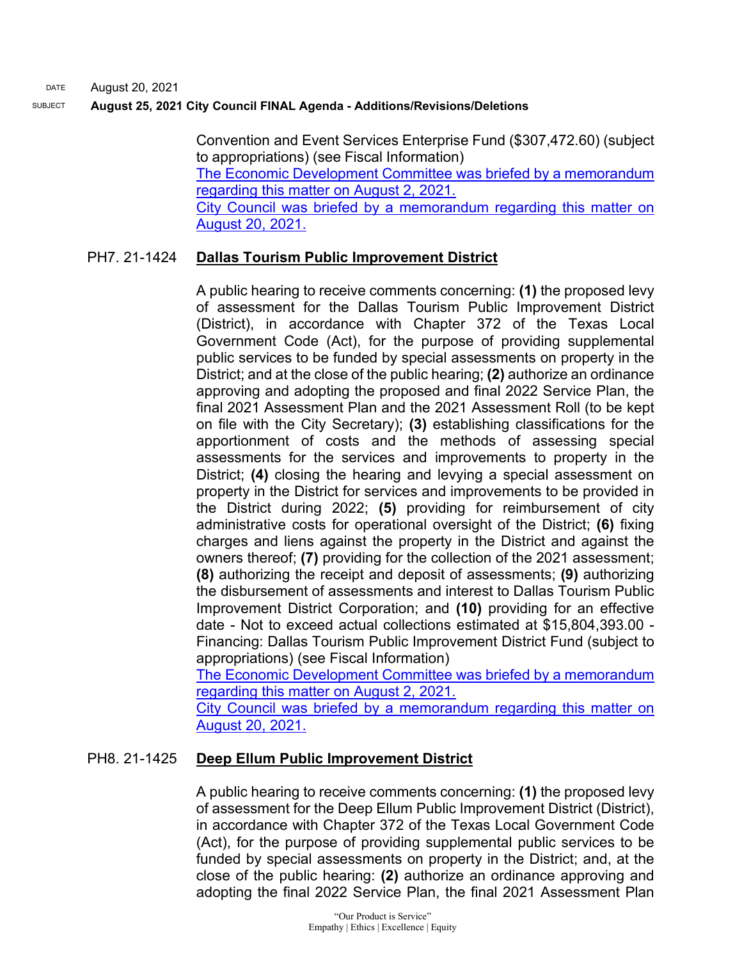#### SUBJECT **August 25, 2021 City Council FINAL Agenda - Additions/Revisions/Deletions**

Convention and Event Services Enterprise Fund (\$307,472.60) (subject to appropriations) (see Fiscal Information) [The Economic Development Committee was briefed by a memorandum](https://cityofdallas.legistar.com/View.ashx?M=F&ID=9686503&GUID=7EC16706-088D-432B-B53E-296433C14FE6)  [regarding this matter on August 2, 2021.](https://cityofdallas.legistar.com/View.ashx?M=F&ID=9686503&GUID=7EC16706-088D-432B-B53E-296433C14FE6) [City Council was briefed by a memorandum regarding this matter on](https://dallascityhall.com/government/citymanager/Documents/FY%2020-21%20Memos/PIDS-To-Set-Annual-Assessment-Rates_Memo_082021.pdf)  [August 20, 2021.](https://dallascityhall.com/government/citymanager/Documents/FY%2020-21%20Memos/PIDS-To-Set-Annual-Assessment-Rates_Memo_082021.pdf)

#### PH7. 21-1424 **Dallas Tourism Public Improvement District**

A public hearing to receive comments concerning: **(1)** the proposed levy of assessment for the Dallas Tourism Public Improvement District (District), in accordance with Chapter 372 of the Texas Local Government Code (Act), for the purpose of providing supplemental public services to be funded by special assessments on property in the District; and at the close of the public hearing; **(2)** authorize an ordinance approving and adopting the proposed and final 2022 Service Plan, the final 2021 Assessment Plan and the 2021 Assessment Roll (to be kept on file with the City Secretary); **(3)** establishing classifications for the apportionment of costs and the methods of assessing special assessments for the services and improvements to property in the District; **(4)** closing the hearing and levying a special assessment on property in the District for services and improvements to be provided in the District during 2022; **(5)** providing for reimbursement of city administrative costs for operational oversight of the District; **(6)** fixing charges and liens against the property in the District and against the owners thereof; **(7)** providing for the collection of the 2021 assessment; **(8)** authorizing the receipt and deposit of assessments; **(9)** authorizing the disbursement of assessments and interest to Dallas Tourism Public Improvement District Corporation; and **(10)** providing for an effective date - Not to exceed actual collections estimated at \$15,804,393.00 - Financing: Dallas Tourism Public Improvement District Fund (subject to appropriations) (see Fiscal Information)

[The Economic Development Committee was briefed by a memorandum](https://cityofdallas.legistar.com/View.ashx?M=F&ID=9686503&GUID=7EC16706-088D-432B-B53E-296433C14FE6)  [regarding this matter on August 2, 2021.](https://cityofdallas.legistar.com/View.ashx?M=F&ID=9686503&GUID=7EC16706-088D-432B-B53E-296433C14FE6) City Council was briefed by a memorandum regarding this matter on [August 20, 2021.](https://dallascityhall.com/government/citymanager/Documents/FY%2020-21%20Memos/PIDS-To-Set-Annual-Assessment-Rates_Memo_082021.pdf)

## PH8. 21-1425 **Deep Ellum Public Improvement District**

A public hearing to receive comments concerning: **(1)** the proposed levy of assessment for the Deep Ellum Public Improvement District (District), in accordance with Chapter 372 of the Texas Local Government Code (Act), for the purpose of providing supplemental public services to be funded by special assessments on property in the District; and, at the close of the public hearing: **(2)** authorize an ordinance approving and adopting the final 2022 Service Plan, the final 2021 Assessment Plan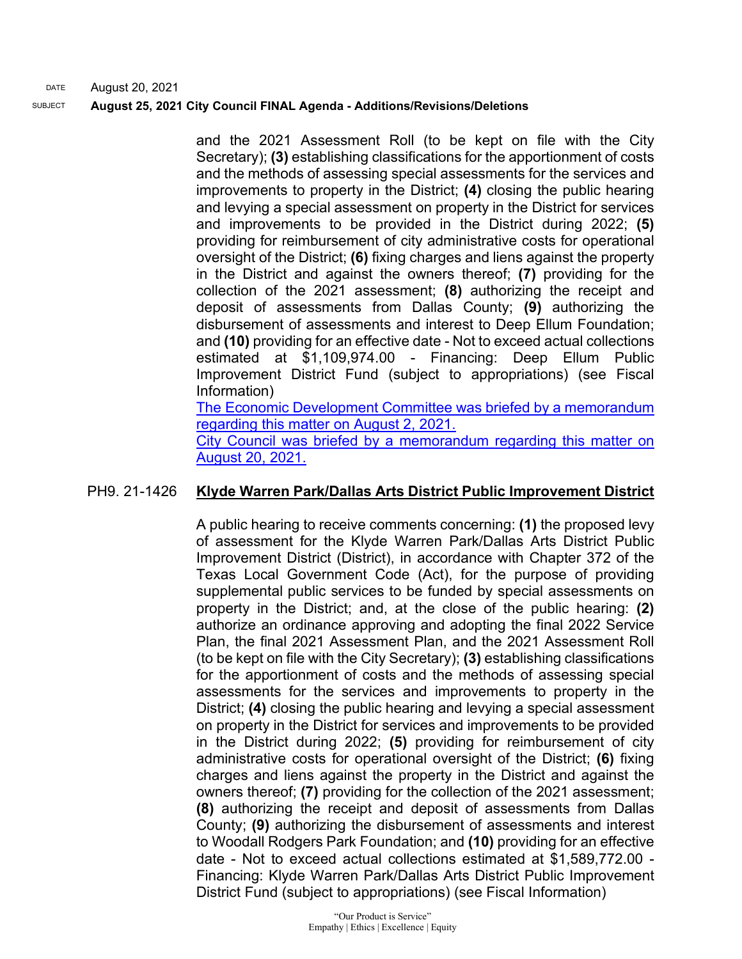and the 2021 Assessment Roll (to be kept on file with the City Secretary); **(3)** establishing classifications for the apportionment of costs and the methods of assessing special assessments for the services and improvements to property in the District; **(4)** closing the public hearing and levying a special assessment on property in the District for services and improvements to be provided in the District during 2022; **(5)**  providing for reimbursement of city administrative costs for operational oversight of the District; **(6)** fixing charges and liens against the property in the District and against the owners thereof; **(7)** providing for the collection of the 2021 assessment; **(8)** authorizing the receipt and deposit of assessments from Dallas County; **(9)** authorizing the disbursement of assessments and interest to Deep Ellum Foundation; and **(10)** providing for an effective date - Not to exceed actual collections estimated at \$1,109,974.00 - Financing: Deep Ellum Public Improvement District Fund (subject to appropriations) (see Fiscal Information) [The Economic Development Committee was briefed by a memorandum](https://cityofdallas.legistar.com/View.ashx?M=F&ID=9686503&GUID=7EC16706-088D-432B-B53E-296433C14FE6)  [regarding this matter on August 2, 2021.](https://cityofdallas.legistar.com/View.ashx?M=F&ID=9686503&GUID=7EC16706-088D-432B-B53E-296433C14FE6)

[City Council was briefed by a memorandum regarding this matter on](https://dallascityhall.com/government/citymanager/Documents/FY%2020-21%20Memos/PIDS-To-Set-Annual-Assessment-Rates_Memo_082021.pdf)  [August 20, 2021.](https://dallascityhall.com/government/citymanager/Documents/FY%2020-21%20Memos/PIDS-To-Set-Annual-Assessment-Rates_Memo_082021.pdf)

## PH9. 21-1426 **Klyde Warren Park/Dallas Arts District Public Improvement District**

A public hearing to receive comments concerning: **(1)** the proposed levy of assessment for the Klyde Warren Park/Dallas Arts District Public Improvement District (District), in accordance with Chapter 372 of the Texas Local Government Code (Act), for the purpose of providing supplemental public services to be funded by special assessments on property in the District; and, at the close of the public hearing: **(2)** authorize an ordinance approving and adopting the final 2022 Service Plan, the final 2021 Assessment Plan, and the 2021 Assessment Roll (to be kept on file with the City Secretary); **(3)** establishing classifications for the apportionment of costs and the methods of assessing special assessments for the services and improvements to property in the District; **(4)** closing the public hearing and levying a special assessment on property in the District for services and improvements to be provided in the District during 2022; **(5)** providing for reimbursement of city administrative costs for operational oversight of the District; **(6)** fixing charges and liens against the property in the District and against the owners thereof; **(7)** providing for the collection of the 2021 assessment; **(8)** authorizing the receipt and deposit of assessments from Dallas County; **(9)** authorizing the disbursement of assessments and interest to Woodall Rodgers Park Foundation; and **(10)** providing for an effective date - Not to exceed actual collections estimated at \$1,589,772.00 - Financing: Klyde Warren Park/Dallas Arts District Public Improvement District Fund (subject to appropriations) (see Fiscal Information)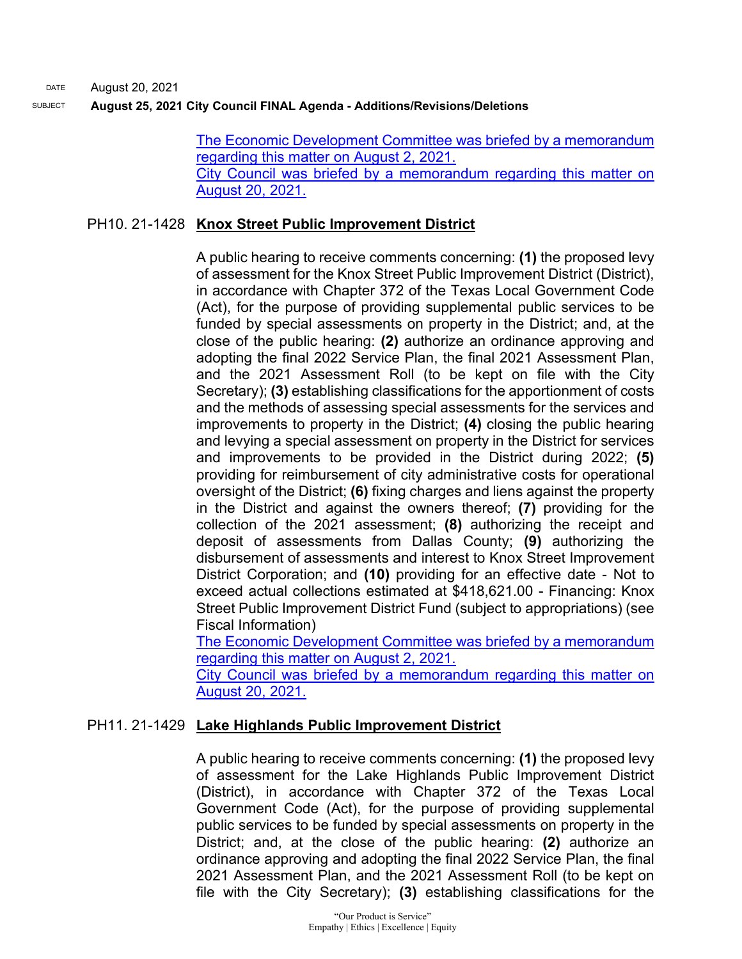> [The Economic Development Committee was briefed by a memorandum](https://cityofdallas.legistar.com/View.ashx?M=F&ID=9686503&GUID=7EC16706-088D-432B-B53E-296433C14FE6)  [regarding this matter on August 2, 2021.](https://cityofdallas.legistar.com/View.ashx?M=F&ID=9686503&GUID=7EC16706-088D-432B-B53E-296433C14FE6) [City Council was briefed by a memorandum regarding this matter on](https://dallascityhall.com/government/citymanager/Documents/FY%2020-21%20Memos/PIDS-To-Set-Annual-Assessment-Rates_Memo_082021.pdf)  [August 20, 2021.](https://dallascityhall.com/government/citymanager/Documents/FY%2020-21%20Memos/PIDS-To-Set-Annual-Assessment-Rates_Memo_082021.pdf)

#### PH10. 21-1428 **Knox Street Public Improvement District**

A public hearing to receive comments concerning: **(1)** the proposed levy of assessment for the Knox Street Public Improvement District (District), in accordance with Chapter 372 of the Texas Local Government Code (Act), for the purpose of providing supplemental public services to be funded by special assessments on property in the District; and, at the close of the public hearing: **(2)** authorize an ordinance approving and adopting the final 2022 Service Plan, the final 2021 Assessment Plan, and the 2021 Assessment Roll (to be kept on file with the City Secretary); **(3)** establishing classifications for the apportionment of costs and the methods of assessing special assessments for the services and improvements to property in the District; **(4)** closing the public hearing and levying a special assessment on property in the District for services and improvements to be provided in the District during 2022; **(5)**  providing for reimbursement of city administrative costs for operational oversight of the District; **(6)** fixing charges and liens against the property in the District and against the owners thereof; **(7)** providing for the collection of the 2021 assessment; **(8)** authorizing the receipt and deposit of assessments from Dallas County; **(9)** authorizing the disbursement of assessments and interest to Knox Street Improvement District Corporation; and **(10)** providing for an effective date - Not to exceed actual collections estimated at \$418,621.00 - Financing: Knox Street Public Improvement District Fund (subject to appropriations) (see Fiscal Information)

[The Economic Development Committee was briefed by a memorandum](http://cityofdallas.legistar.com/gateway.aspx?M=F&ID=995bb7de-dd55-4be7-8b12-a7fc8a3ef946.pdf)  [regarding this matter on August 2, 2021.](http://cityofdallas.legistar.com/gateway.aspx?M=F&ID=995bb7de-dd55-4be7-8b12-a7fc8a3ef946.pdf)

[City Council was briefed by a memorandum regarding this matter on](https://dallascityhall.com/government/citymanager/Documents/FY%2020-21%20Memos/PIDS-To-Set-Annual-Assessment-Rates_Memo_082021.pdf)  [August 20, 2021.](https://dallascityhall.com/government/citymanager/Documents/FY%2020-21%20Memos/PIDS-To-Set-Annual-Assessment-Rates_Memo_082021.pdf)

#### PH11. 21-1429 **Lake Highlands Public Improvement District**

A public hearing to receive comments concerning: **(1)** the proposed levy of assessment for the Lake Highlands Public Improvement District (District), in accordance with Chapter 372 of the Texas Local Government Code (Act), for the purpose of providing supplemental public services to be funded by special assessments on property in the District; and, at the close of the public hearing: **(2)** authorize an ordinance approving and adopting the final 2022 Service Plan, the final 2021 Assessment Plan, and the 2021 Assessment Roll (to be kept on file with the City Secretary); **(3)** establishing classifications for the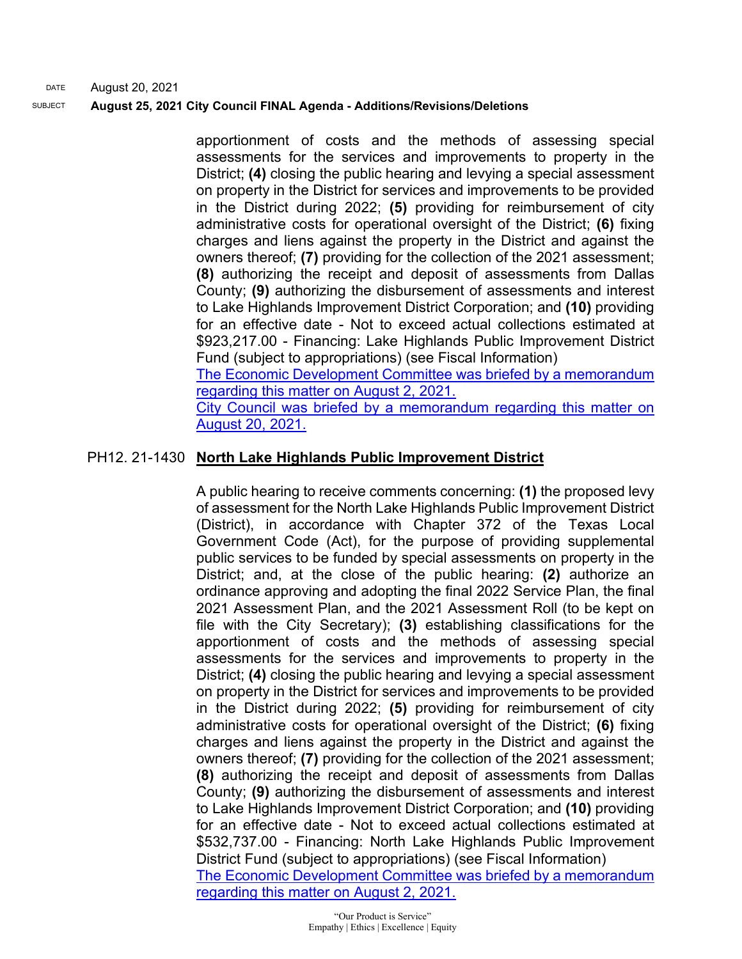> apportionment of costs and the methods of assessing special assessments for the services and improvements to property in the District; **(4)** closing the public hearing and levying a special assessment on property in the District for services and improvements to be provided in the District during 2022; **(5)** providing for reimbursement of city administrative costs for operational oversight of the District; **(6)** fixing charges and liens against the property in the District and against the owners thereof; **(7)** providing for the collection of the 2021 assessment; **(8)** authorizing the receipt and deposit of assessments from Dallas County; **(9)** authorizing the disbursement of assessments and interest to Lake Highlands Improvement District Corporation; and **(10)** providing for an effective date - Not to exceed actual collections estimated at \$923,217.00 - Financing: Lake Highlands Public Improvement District Fund (subject to appropriations) (see Fiscal Information) [The Economic Development Committee was briefed by a memorandum](http://cityofdallas.legistar.com/gateway.aspx?M=F&ID=995bb7de-dd55-4be7-8b12-a7fc8a3ef946.pdf)

> [regarding this matter on August 2, 2021.](http://cityofdallas.legistar.com/gateway.aspx?M=F&ID=995bb7de-dd55-4be7-8b12-a7fc8a3ef946.pdf) [City Council was briefed by a memorandum regarding this matter on](https://dallascityhall.com/government/citymanager/Documents/FY%2020-21%20Memos/PIDS-To-Set-Annual-Assessment-Rates_Memo_082021.pdf)  [August 20, 2021.](https://dallascityhall.com/government/citymanager/Documents/FY%2020-21%20Memos/PIDS-To-Set-Annual-Assessment-Rates_Memo_082021.pdf)

# PH12. 21-1430 **North Lake Highlands Public Improvement District**

A public hearing to receive comments concerning: **(1)** the proposed levy of assessment for the North Lake Highlands Public Improvement District (District), in accordance with Chapter 372 of the Texas Local Government Code (Act), for the purpose of providing supplemental public services to be funded by special assessments on property in the District; and, at the close of the public hearing: **(2)** authorize an ordinance approving and adopting the final 2022 Service Plan, the final 2021 Assessment Plan, and the 2021 Assessment Roll (to be kept on file with the City Secretary); **(3)** establishing classifications for the apportionment of costs and the methods of assessing special assessments for the services and improvements to property in the District; **(4)** closing the public hearing and levying a special assessment on property in the District for services and improvements to be provided in the District during 2022; **(5)** providing for reimbursement of city administrative costs for operational oversight of the District; **(6)** fixing charges and liens against the property in the District and against the owners thereof; **(7)** providing for the collection of the 2021 assessment; **(8)** authorizing the receipt and deposit of assessments from Dallas County; **(9)** authorizing the disbursement of assessments and interest to Lake Highlands Improvement District Corporation; and **(10)** providing for an effective date - Not to exceed actual collections estimated at \$532,737.00 - Financing: North Lake Highlands Public Improvement District Fund (subject to appropriations) (see Fiscal Information) [The Economic Development Committee was briefed by a memorandum](http://cityofdallas.legistar.com/gateway.aspx?M=F&ID=995bb7de-dd55-4be7-8b12-a7fc8a3ef946.pdf)  [regarding this matter on August 2, 2021.](http://cityofdallas.legistar.com/gateway.aspx?M=F&ID=995bb7de-dd55-4be7-8b12-a7fc8a3ef946.pdf)

> "Our Product is Service" Empathy | Ethics | Excellence | Equity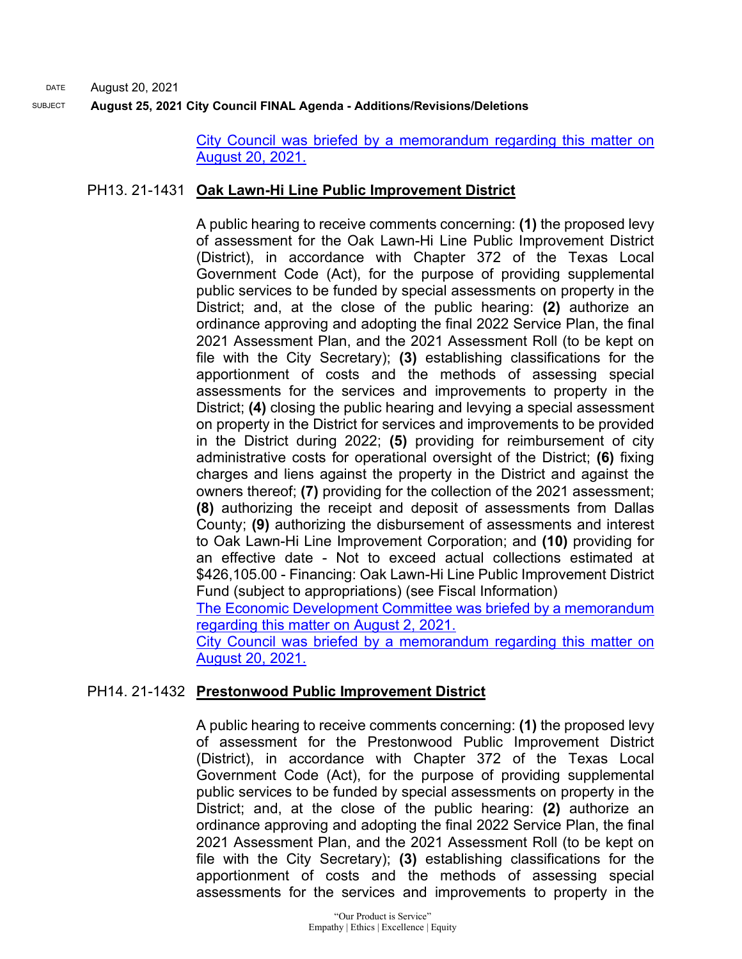> [City Council was briefed by a memorandum regarding this matter on](https://dallascityhall.com/government/citymanager/Documents/FY%2020-21%20Memos/PIDS-To-Set-Annual-Assessment-Rates_Memo_082021.pdf)  [August 20, 2021.](https://dallascityhall.com/government/citymanager/Documents/FY%2020-21%20Memos/PIDS-To-Set-Annual-Assessment-Rates_Memo_082021.pdf)

# PH13. 21-1431 **Oak Lawn-Hi Line Public Improvement District**

A public hearing to receive comments concerning: **(1)** the proposed levy of assessment for the Oak Lawn-Hi Line Public Improvement District (District), in accordance with Chapter 372 of the Texas Local Government Code (Act), for the purpose of providing supplemental public services to be funded by special assessments on property in the District; and, at the close of the public hearing: **(2)** authorize an ordinance approving and adopting the final 2022 Service Plan, the final 2021 Assessment Plan, and the 2021 Assessment Roll (to be kept on file with the City Secretary); **(3)** establishing classifications for the apportionment of costs and the methods of assessing special assessments for the services and improvements to property in the District; **(4)** closing the public hearing and levying a special assessment on property in the District for services and improvements to be provided in the District during 2022; **(5)** providing for reimbursement of city administrative costs for operational oversight of the District; **(6)** fixing charges and liens against the property in the District and against the owners thereof; **(7)** providing for the collection of the 2021 assessment; **(8)** authorizing the receipt and deposit of assessments from Dallas County; **(9)** authorizing the disbursement of assessments and interest to Oak Lawn-Hi Line Improvement Corporation; and **(10)** providing for an effective date - Not to exceed actual collections estimated at \$426,105.00 - Financing: Oak Lawn-Hi Line Public Improvement District Fund (subject to appropriations) (see Fiscal Information)

[The Economic Development Committee was briefed by a memorandum](http://cityofdallas.legistar.com/gateway.aspx?M=F&ID=995bb7de-dd55-4be7-8b12-a7fc8a3ef946.pdf)  [regarding this matter on August 2, 2021.](http://cityofdallas.legistar.com/gateway.aspx?M=F&ID=995bb7de-dd55-4be7-8b12-a7fc8a3ef946.pdf)

[City Council was briefed by a memorandum regarding this matter on](https://dallascityhall.com/government/citymanager/Documents/FY%2020-21%20Memos/PIDS-To-Set-Annual-Assessment-Rates_Memo_082021.pdf)  [August 20, 2021.](https://dallascityhall.com/government/citymanager/Documents/FY%2020-21%20Memos/PIDS-To-Set-Annual-Assessment-Rates_Memo_082021.pdf)

## PH14. 21-1432 **Prestonwood Public Improvement District**

A public hearing to receive comments concerning: **(1)** the proposed levy of assessment for the Prestonwood Public Improvement District (District), in accordance with Chapter 372 of the Texas Local Government Code (Act), for the purpose of providing supplemental public services to be funded by special assessments on property in the District; and, at the close of the public hearing: **(2)** authorize an ordinance approving and adopting the final 2022 Service Plan, the final 2021 Assessment Plan, and the 2021 Assessment Roll (to be kept on file with the City Secretary); **(3)** establishing classifications for the apportionment of costs and the methods of assessing special assessments for the services and improvements to property in the

> "Our Product is Service" Empathy | Ethics | Excellence | Equity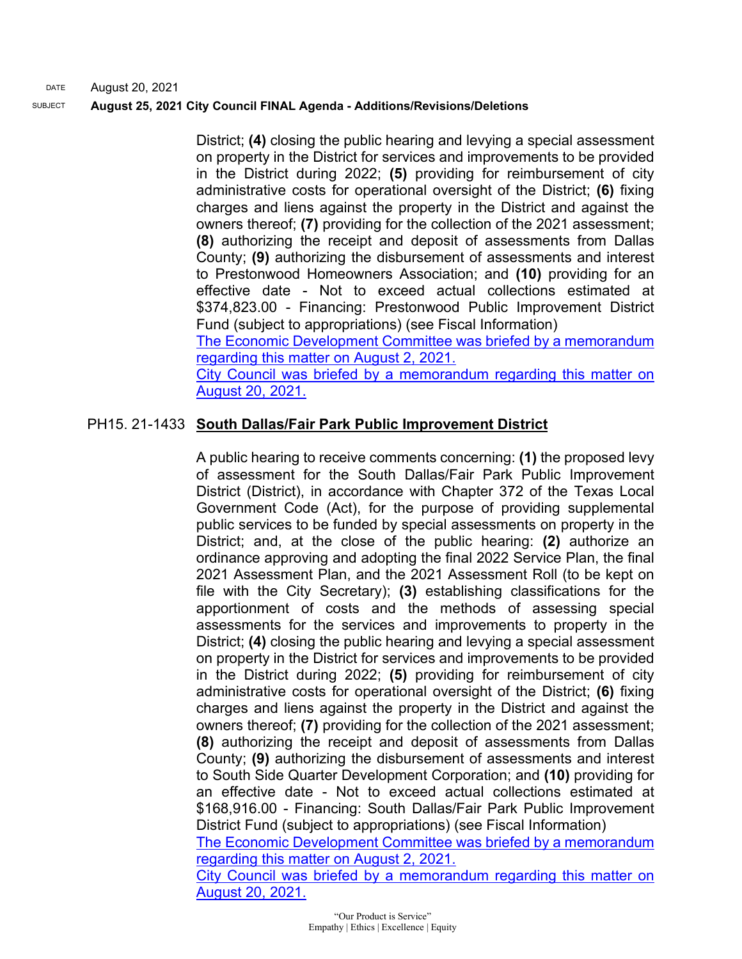District; **(4)** closing the public hearing and levying a special assessment on property in the District for services and improvements to be provided in the District during 2022; **(5)** providing for reimbursement of city administrative costs for operational oversight of the District; **(6)** fixing charges and liens against the property in the District and against the owners thereof; **(7)** providing for the collection of the 2021 assessment; **(8)** authorizing the receipt and deposit of assessments from Dallas County; **(9)** authorizing the disbursement of assessments and interest to Prestonwood Homeowners Association; and **(10)** providing for an effective date - Not to exceed actual collections estimated at \$374,823.00 - Financing: Prestonwood Public Improvement District Fund (subject to appropriations) (see Fiscal Information)

[The Economic Development Committee was briefed by a memorandum](https://cityofdallas.legistar.com/View.ashx?M=F&ID=9686503&GUID=7EC16706-088D-432B-B53E-296433C14FE6)  [regarding this matter on August 2, 2021.](https://cityofdallas.legistar.com/View.ashx?M=F&ID=9686503&GUID=7EC16706-088D-432B-B53E-296433C14FE6)

[City Council was briefed by a memorandum regarding this matter on](https://dallascityhall.com/government/citymanager/Documents/FY%2020-21%20Memos/PIDS-To-Set-Annual-Assessment-Rates_Memo_082021.pdf)  [August 20, 2021.](https://dallascityhall.com/government/citymanager/Documents/FY%2020-21%20Memos/PIDS-To-Set-Annual-Assessment-Rates_Memo_082021.pdf)

# PH15. 21-1433 **South Dallas/Fair Park Public Improvement District**

A public hearing to receive comments concerning: **(1)** the proposed levy of assessment for the South Dallas/Fair Park Public Improvement District (District), in accordance with Chapter 372 of the Texas Local Government Code (Act), for the purpose of providing supplemental public services to be funded by special assessments on property in the District; and, at the close of the public hearing: **(2)** authorize an ordinance approving and adopting the final 2022 Service Plan, the final 2021 Assessment Plan, and the 2021 Assessment Roll (to be kept on file with the City Secretary); **(3)** establishing classifications for the apportionment of costs and the methods of assessing special assessments for the services and improvements to property in the District; **(4)** closing the public hearing and levying a special assessment on property in the District for services and improvements to be provided in the District during 2022; **(5)** providing for reimbursement of city administrative costs for operational oversight of the District; **(6)** fixing charges and liens against the property in the District and against the owners thereof; **(7)** providing for the collection of the 2021 assessment; **(8)** authorizing the receipt and deposit of assessments from Dallas County; **(9)** authorizing the disbursement of assessments and interest to South Side Quarter Development Corporation; and **(10)** providing for an effective date - Not to exceed actual collections estimated at \$168,916.00 - Financing: South Dallas/Fair Park Public Improvement District Fund (subject to appropriations) (see Fiscal Information) [The Economic Development Committee was briefed by a memorandum](http://cityofdallas.legistar.com/gateway.aspx?M=F&ID=995bb7de-dd55-4be7-8b12-a7fc8a3ef946.pdf)  [regarding this matter on August 2, 2021.](http://cityofdallas.legistar.com/gateway.aspx?M=F&ID=995bb7de-dd55-4be7-8b12-a7fc8a3ef946.pdf) [City Council was briefed by a memorandum regarding this matter on](https://dallascityhall.com/government/citymanager/Documents/FY%2020-21%20Memos/PIDS-To-Set-Annual-Assessment-Rates_Memo_082021.pdf) 

[August 20, 2021.](https://dallascityhall.com/government/citymanager/Documents/FY%2020-21%20Memos/PIDS-To-Set-Annual-Assessment-Rates_Memo_082021.pdf)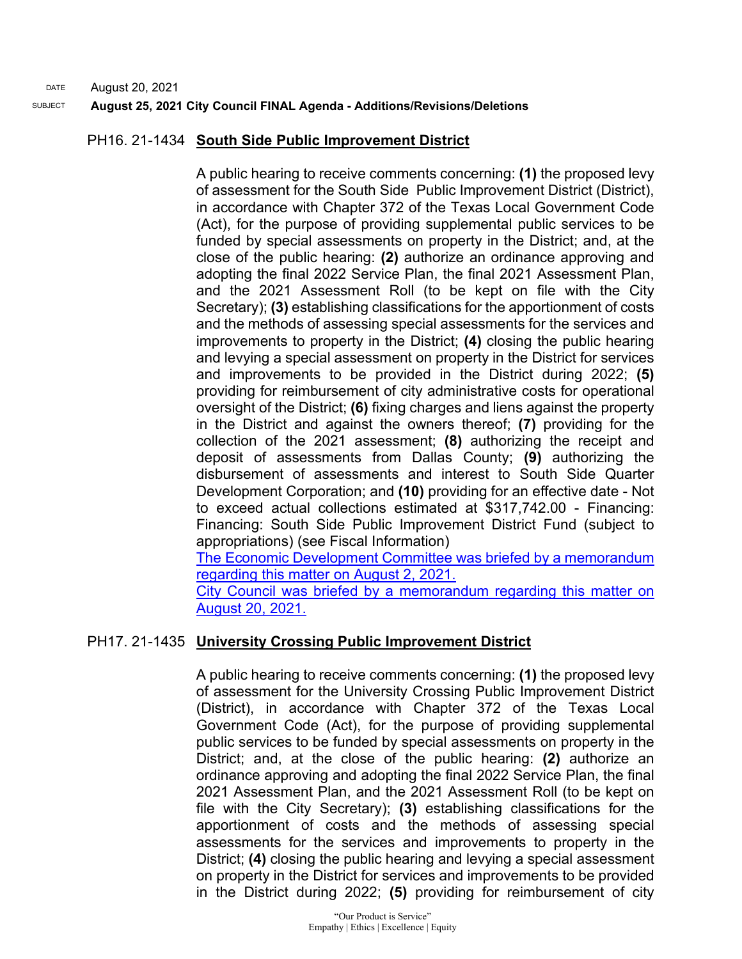#### SUBJECT **August 25, 2021 City Council FINAL Agenda - Additions/Revisions/Deletions**

## PH16. 21-1434 **South Side Public Improvement District**

A public hearing to receive comments concerning: **(1)** the proposed levy of assessment for the South Side Public Improvement District (District), in accordance with Chapter 372 of the Texas Local Government Code (Act), for the purpose of providing supplemental public services to be funded by special assessments on property in the District; and, at the close of the public hearing: **(2)** authorize an ordinance approving and adopting the final 2022 Service Plan, the final 2021 Assessment Plan, and the 2021 Assessment Roll (to be kept on file with the City Secretary); **(3)** establishing classifications for the apportionment of costs and the methods of assessing special assessments for the services and improvements to property in the District; **(4)** closing the public hearing and levying a special assessment on property in the District for services and improvements to be provided in the District during 2022; **(5)** providing for reimbursement of city administrative costs for operational oversight of the District; **(6)** fixing charges and liens against the property in the District and against the owners thereof; **(7)** providing for the collection of the 2021 assessment; **(8)** authorizing the receipt and deposit of assessments from Dallas County; **(9)** authorizing the disbursement of assessments and interest to South Side Quarter Development Corporation; and **(10)** providing for an effective date - Not to exceed actual collections estimated at \$317,742.00 - Financing: Financing: South Side Public Improvement District Fund (subject to appropriations) (see Fiscal Information) [The Economic Development Committee was briefed by a memorandum](https://cityofdallas.legistar.com/View.ashx?M=F&ID=9686503&GUID=7EC16706-088D-432B-B53E-296433C14FE6)  [regarding this matter on August 2, 2021.](https://cityofdallas.legistar.com/View.ashx?M=F&ID=9686503&GUID=7EC16706-088D-432B-B53E-296433C14FE6)

[City Council was briefed by a memorandum regarding this matter on](https://dallascityhall.com/government/citymanager/Documents/FY%2020-21%20Memos/PIDS-To-Set-Annual-Assessment-Rates_Memo_082021.pdf)  [August 20, 2021.](https://dallascityhall.com/government/citymanager/Documents/FY%2020-21%20Memos/PIDS-To-Set-Annual-Assessment-Rates_Memo_082021.pdf)

# PH17. 21-1435 **University Crossing Public Improvement District**

A public hearing to receive comments concerning: **(1)** the proposed levy of assessment for the University Crossing Public Improvement District (District), in accordance with Chapter 372 of the Texas Local Government Code (Act), for the purpose of providing supplemental public services to be funded by special assessments on property in the District; and, at the close of the public hearing: **(2)** authorize an ordinance approving and adopting the final 2022 Service Plan, the final 2021 Assessment Plan, and the 2021 Assessment Roll (to be kept on file with the City Secretary); **(3)** establishing classifications for the apportionment of costs and the methods of assessing special assessments for the services and improvements to property in the District; **(4)** closing the public hearing and levying a special assessment on property in the District for services and improvements to be provided in the District during 2022; **(5)** providing for reimbursement of city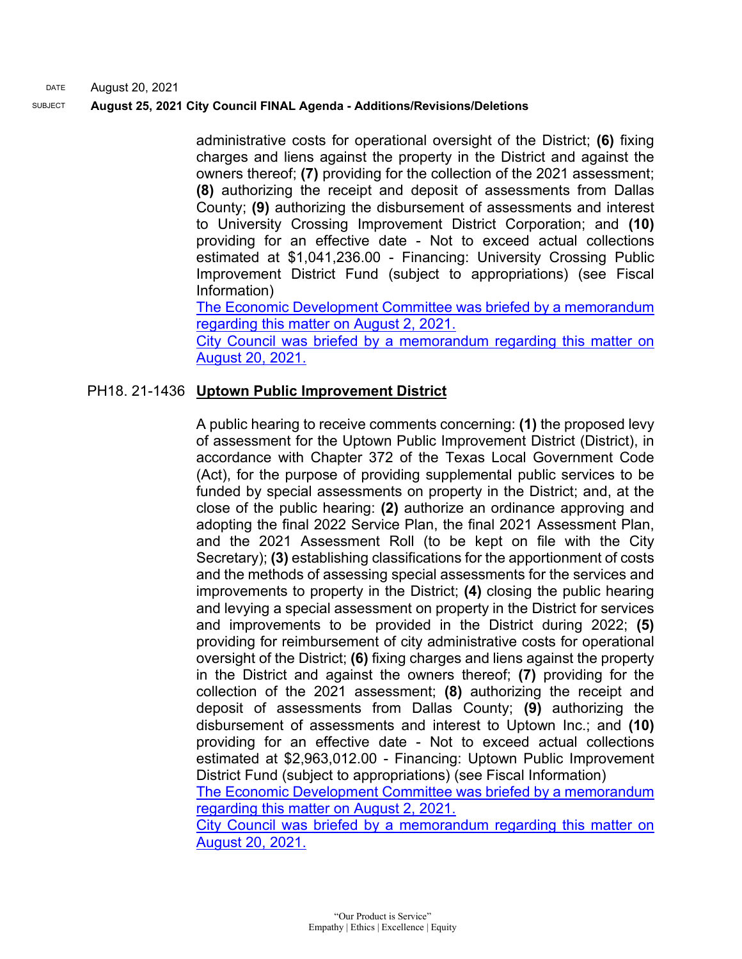#### SUBJECT **August 25, 2021 City Council FINAL Agenda - Additions/Revisions/Deletions**

administrative costs for operational oversight of the District; **(6)** fixing charges and liens against the property in the District and against the owners thereof; **(7)** providing for the collection of the 2021 assessment; **(8)** authorizing the receipt and deposit of assessments from Dallas County; **(9)** authorizing the disbursement of assessments and interest to University Crossing Improvement District Corporation; and **(10)** providing for an effective date - Not to exceed actual collections estimated at \$1,041,236.00 - Financing: University Crossing Public Improvement District Fund (subject to appropriations) (see Fiscal Information)

[The Economic Development Committee was briefed by a memorandum](https://cityofdallas.legistar.com/View.ashx?M=F&ID=9686503&GUID=7EC16706-088D-432B-B53E-296433C14FE6)  [regarding this matter on August 2, 2021.](https://cityofdallas.legistar.com/View.ashx?M=F&ID=9686503&GUID=7EC16706-088D-432B-B53E-296433C14FE6)

[City Council was briefed by a memorandum regarding this matter on](https://dallascityhall.com/government/citymanager/Documents/FY%2020-21%20Memos/PIDS-To-Set-Annual-Assessment-Rates_Memo_082021.pdf)  [August 20, 2021.](https://dallascityhall.com/government/citymanager/Documents/FY%2020-21%20Memos/PIDS-To-Set-Annual-Assessment-Rates_Memo_082021.pdf)

#### PH18. 21-1436 **Uptown Public Improvement District**

A public hearing to receive comments concerning: **(1)** the proposed levy of assessment for the Uptown Public Improvement District (District), in accordance with Chapter 372 of the Texas Local Government Code (Act), for the purpose of providing supplemental public services to be funded by special assessments on property in the District; and, at the close of the public hearing: **(2)** authorize an ordinance approving and adopting the final 2022 Service Plan, the final 2021 Assessment Plan, and the 2021 Assessment Roll (to be kept on file with the City Secretary); **(3)** establishing classifications for the apportionment of costs and the methods of assessing special assessments for the services and improvements to property in the District; **(4)** closing the public hearing and levying a special assessment on property in the District for services and improvements to be provided in the District during 2022; **(5)** providing for reimbursement of city administrative costs for operational oversight of the District; **(6)** fixing charges and liens against the property in the District and against the owners thereof; **(7)** providing for the collection of the 2021 assessment; **(8)** authorizing the receipt and deposit of assessments from Dallas County; **(9)** authorizing the disbursement of assessments and interest to Uptown Inc.; and **(10)** providing for an effective date - Not to exceed actual collections estimated at \$2,963,012.00 - Financing: Uptown Public Improvement District Fund (subject to appropriations) (see Fiscal Information) [The Economic Development Committee was briefed by a memorandum](http://cityofdallas.legistar.com/gateway.aspx?M=F&ID=995bb7de-dd55-4be7-8b12-a7fc8a3ef946.pdf)  [regarding this matter on August 2, 2021.](http://cityofdallas.legistar.com/gateway.aspx?M=F&ID=995bb7de-dd55-4be7-8b12-a7fc8a3ef946.pdf) [City Council was briefed by a memorandum regarding this matter on](https://dallascityhall.com/government/citymanager/Documents/FY%2020-21%20Memos/PIDS-To-Set-Annual-Assessment-Rates_Memo_082021.pdf)  [August 20, 2021.](https://dallascityhall.com/government/citymanager/Documents/FY%2020-21%20Memos/PIDS-To-Set-Annual-Assessment-Rates_Memo_082021.pdf)